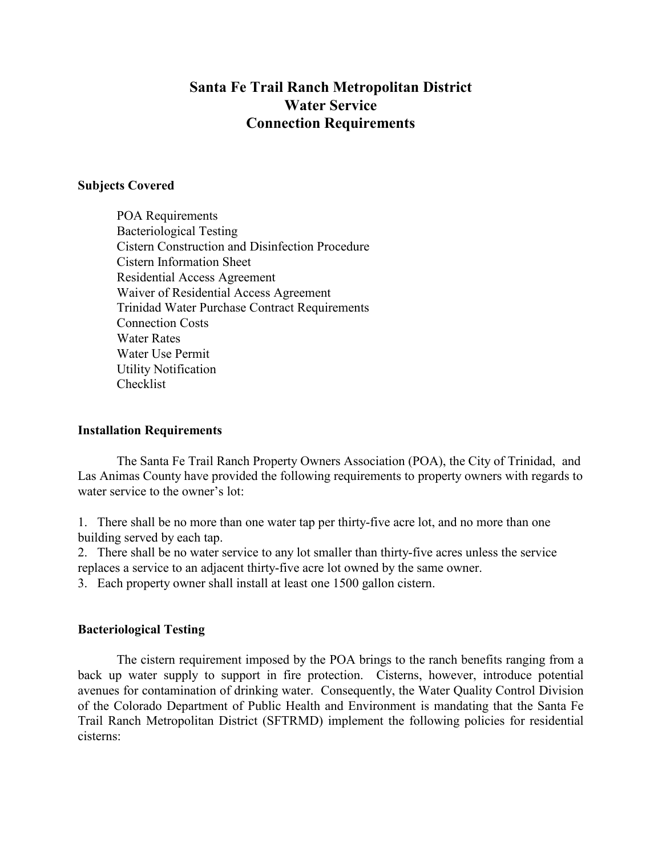# **Santa Fe Trail Ranch Metropolitan District Water Service Connection Requirements**

#### **Subjects Covered**

POA Requirements Bacteriological Testing Cistern Construction and Disinfection Procedure Cistern Information Sheet Residential Access Agreement Waiver of Residential Access Agreement Trinidad Water Purchase Contract Requirements Connection Costs Water Rates Water Use Permit Utility Notification Checklist

#### **Installation Requirements**

The Santa Fe Trail Ranch Property Owners Association (POA), the City of Trinidad, and Las Animas County have provided the following requirements to property owners with regards to water service to the owner's lot:

1. There shall be no more than one water tap per thirty-five acre lot, and no more than one building served by each tap.

2. There shall be no water service to any lot smaller than thirty-five acres unless the service replaces a service to an adjacent thirty-five acre lot owned by the same owner.

3. Each property owner shall install at least one 1500 gallon cistern.

#### **Bacteriological Testing**

The cistern requirement imposed by the POA brings to the ranch benefits ranging from a back up water supply to support in fire protection. Cisterns, however, introduce potential avenues for contamination of drinking water. Consequently, the Water Quality Control Division of the Colorado Department of Public Health and Environment is mandating that the Santa Fe Trail Ranch Metropolitan District (SFTRMD) implement the following policies for residential cisterns: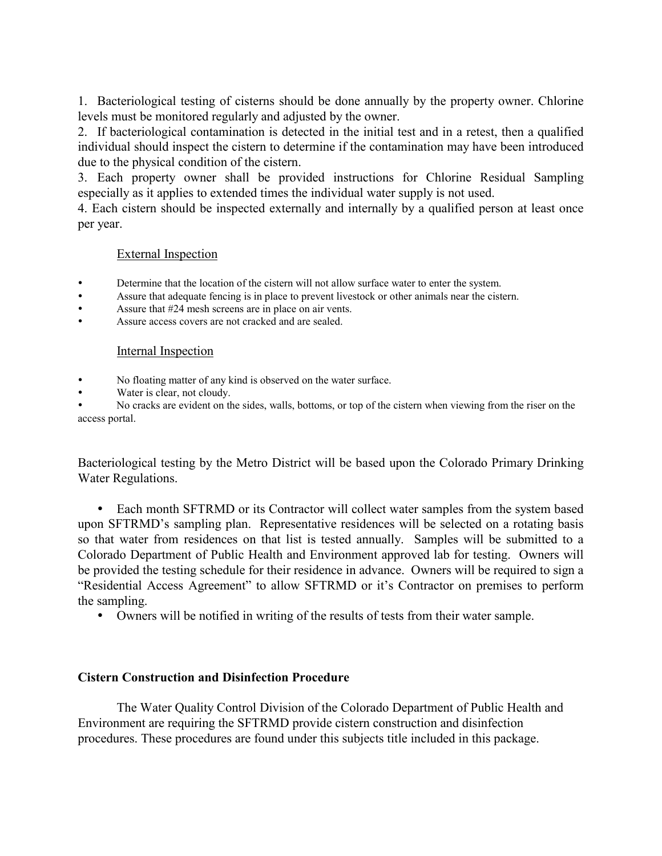1. Bacteriological testing of cisterns should be done annually by the property owner. Chlorine levels must be monitored regularly and adjusted by the owner.

2. If bacteriological contamination is detected in the initial test and in a retest, then a qualified individual should inspect the cistern to determine if the contamination may have been introduced due to the physical condition of the cistern.

3. Each property owner shall be provided instructions for Chlorine Residual Sampling especially as it applies to extended times the individual water supply is not used.

4. Each cistern should be inspected externally and internally by a qualified person at least once per year.

#### External Inspection

- Determine that the location of the cistern will not allow surface water to enter the system.
- Assure that adequate fencing is in place to prevent livestock or other animals near the cistern.
- Assure that #24 mesh screens are in place on air vents.
- Assure access covers are not cracked and are sealed.

#### Internal Inspection

- No floating matter of any kind is observed on the water surface.
- Water is clear, not cloudy.

 No cracks are evident on the sides, walls, bottoms, or top of the cistern when viewing from the riser on the access portal.

Bacteriological testing by the Metro District will be based upon the Colorado Primary Drinking Water Regulations.

 Each month SFTRMD or its Contractor will collect water samples from the system based upon SFTRMD's sampling plan. Representative residences will be selected on a rotating basis so that water from residences on that list is tested annually. Samples will be submitted to a Colorado Department of Public Health and Environment approved lab for testing. Owners will be provided the testing schedule for their residence in advance. Owners will be required to sign a "Residential Access Agreement" to allow SFTRMD or it's Contractor on premises to perform the sampling.

Owners will be notified in writing of the results of tests from their water sample.

#### **Cistern Construction and Disinfection Procedure**

The Water Quality Control Division of the Colorado Department of Public Health and Environment are requiring the SFTRMD provide cistern construction and disinfection procedures. These procedures are found under this subjects title included in this package.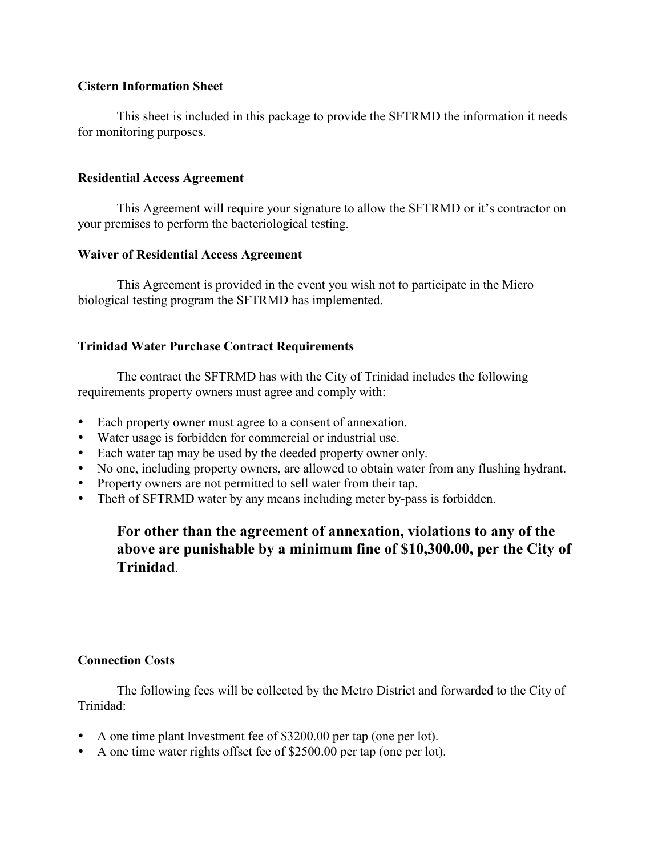### **Cistern Information Sheet**

This sheet is included in this package to provide the SFTRMD the information it needs for monitoring purposes.

### **Residential Access Agreement**

This Agreement will require your signature to allow the SFTRMD or it's contractor on your premises to perform the bacteriological testing.

#### **Waiver of Residential Access Agreement**

This Agreement is provided in the event you wish not to participate in the Micro biological testing program the SFTRMD has implemented.

## **Trinidad Water Purchase Contract Requirements**

The contract the SFTRMD has with the City of Trinidad includes the following requirements property owners must agree and comply with:

- Each property owner must agree to a consent of annexation.
- Water usage is forbidden for commercial or industrial use.
- Each water tap may be used by the deeded property owner only.
- No one, including property owners, are allowed to obtain water from any flushing hydrant.
- Property owners are not permitted to sell water from their tap.
- Theft of SFTRMD water by any means including meter by-pass is forbidden.

# **For other than the agreement of annexation, violations to any of the above are punishable by a minimum fine of \$10,300.00, per the City of Trinidad**.

## **Connection Costs**

The following fees will be collected by the Metro District and forwarded to the City of Trinidad:

- A one time plant Investment fee of \$3200.00 per tap (one per lot).
- A one time water rights offset fee of \$2500.00 per tap (one per lot).